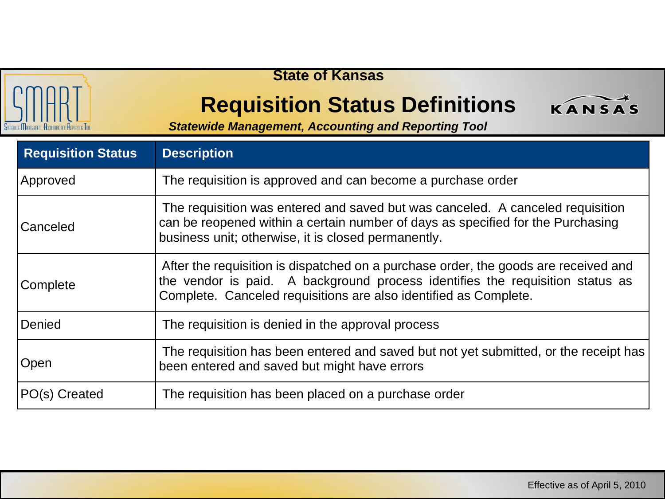

## **State of Kansas**

## **Requisition Status Definitions**



*Statewide Management, Accounting and Reporting Tool*

| <b>Requisition Status</b> | <b>Description</b>                                                                                                                                                                                                                       |
|---------------------------|------------------------------------------------------------------------------------------------------------------------------------------------------------------------------------------------------------------------------------------|
| Approved                  | The requisition is approved and can become a purchase order                                                                                                                                                                              |
| Canceled                  | The requisition was entered and saved but was canceled. A canceled requisition<br>can be reopened within a certain number of days as specified for the Purchasing<br>business unit; otherwise, it is closed permanently.                 |
| <b>Complete</b>           | After the requisition is dispatched on a purchase order, the goods are received and<br>the vendor is paid. A background process identifies the requisition status as<br>Complete. Canceled requisitions are also identified as Complete. |
| Denied                    | The requisition is denied in the approval process                                                                                                                                                                                        |
| Open                      | The requisition has been entered and saved but not yet submitted, or the receipt has<br>been entered and saved but might have errors                                                                                                     |
| PO(s) Created             | The requisition has been placed on a purchase order                                                                                                                                                                                      |